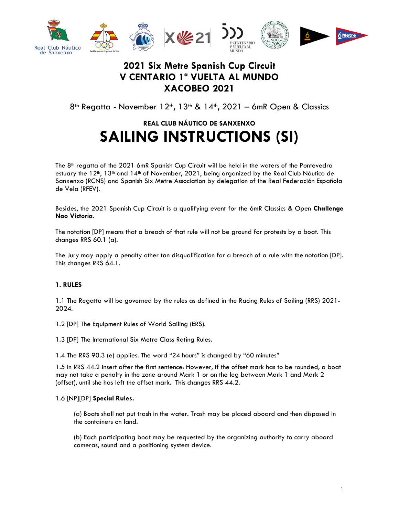

# **2021 Six Metre Spanish Cup Circuit V CENTARIO 1ª VUELTA AL MUNDO XACOBEO 2021**

 $8<sup>th</sup>$  Regatta - November  $12<sup>th</sup>$ ,  $13<sup>th</sup>$  &  $14<sup>th</sup>$ ,  $2021$  – 6mR Open & Classics

# **REAL CLUB NÁUTICO DE SANXENXO SAILING INSTRUCTIONS (SI)**

The  $8<sup>th</sup>$  regatta of the 2021 6mR Spanish Cup Circuit will be held in the waters of the Pontevedra estuary the 12<sup>th</sup>, 13<sup>th</sup> and 14<sup>th</sup> of November, 2021, being organized by the Real Club Náutico de Sanxenxo (RCNS) and Spanish Six Metre Association by delegation of the Real Federación Española de Vela (RFEV).

Besides, the 2021 Spanish Cup Circuit is a qualifying event for the 6mR Classics & Open **Challenge Nao Victoria**.

The notation [DP] means that a breach of that rule will not be ground for protests by a boat. This changes RRS 60.1 (a).

The Jury may apply a penalty other tan disqualification for a breach of a rule with the notation [DP]. This changes RRS 64.1.

# **1. RULES**

1.1 The Regatta will be governed by the rules as defined in the Racing Rules of Sailing (RRS) 2021- 2024.

1.2 [DP] The Equipment Rules of World Sailing (ERS).

1.3 [DP] The International Six Metre Class Rating Rules.

1.4 The RRS 90.3 (e) applies. The word "24 hours" is changed by "60 minutes"

1.5 In RRS 44.2 insert after the first sentence: However, if the offset mark has to be rounded, a boat may not take a penalty in the zone around Mark 1 or on the leg between Mark 1 and Mark 2 (offset), until she has left the offset mark. This changes RRS 44.2.

# 1.6 [NP][DP] **Special Rules.**

(a) Boats shall not put trash in the water. Trash may be placed aboard and then disposed in the containers on land.

(b) Each participating boat may be requested by the organizing authority to carry aboard cameras, sound and a positioning system device.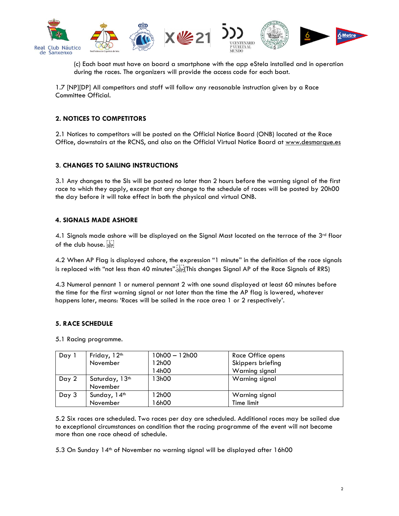

(c) Each boat must have on board a smartphone with the app eStela installed and in operation during the races. The organizers will provide the access code for each boat.

1.7 [NP][DP] All competitors and staff will follow any reasonable instruction given by a Race Committee Official.

# **2. NOTICES TO COMPETITORS**

2.1 Notices to competitors will be posted on the Official Notice Board (ONB) located at the Race Office, downstairs at the RCNS, and also on the Official Virtual Notice Board at [www.desmarque.es](http://www.desmarque.es/)

# **3**. **CHANGES TO SAILING INSTRUCTIONS**

3.1 Any changes to the SIs will be posted no later than 2 hours before the warning signal of the first race to which they apply, except that any change to the schedule of races will be posted by 20h00 the day before it will take effect in both the physical and virtual ONB.

#### **4. SIGNALS MADE ASHORE**

4.1 Signals made ashore will be displayed on the Signal Mast located on the terrace of the 3rd floor of the club house.

4.2 When AP Flag is displayed ashore, the expression "1 minute" in the definition of the race signals is replaced with "not less than 40 minutes". (This changes Signal AP of the Race Signals of RRS)

4.3 Numeral pennant 1 or numeral pennant 2 with one sound displayed at least 60 minutes before the time for the first warning signal or not later than the time the AP flag is lowered, whatever happens later, means: 'Races will be sailed in the race area 1 or 2 respectively'.

#### **5. RACE SCHEDULE**

5.1 Racing programme.

| Day 1 | Friday, 12 <sup>th</sup> | 10h00 – 12h00 | Race Office opens |
|-------|--------------------------|---------------|-------------------|
|       | November                 | 1 2h00        | Skippers briefing |
|       |                          | 14h00         | Warning signal    |
| Day 2 | Saturday, 13th           | l 3h00        | Warning signal    |
|       | November                 |               |                   |
| Day 3 | Sunday, 14th             | 1 2h00        | Warning signal    |
|       | November                 | l 6h00        | Time limit        |

5.2 Six races are scheduled. Two races per day are scheduled. Additional races may be sailed due to exceptional circumstances on condition that the racing programme of the event will not become more than one race ahead of schedule.

5.3 On Sunday 14<sup>th</sup> of November no warning signal will be displayed after 16h00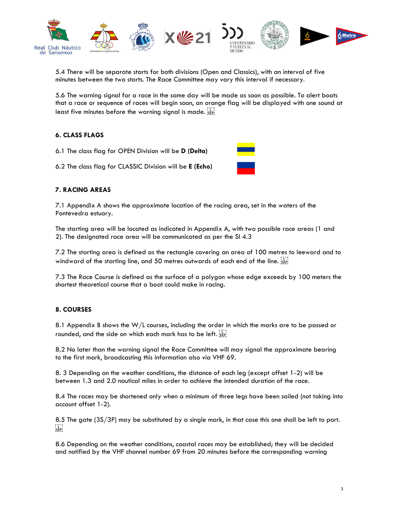

5.4 There will be separate starts for both divisions (Open and Classics), with an interval of five minutes between the two starts. The Race Committee may vary this interval if necessary.

5.6 The warning signal for a race in the same day will be made as soon as possible. To alert boats that a race or sequence of races will begin soon, an orange flag will be displayed with one sound at least five minutes before the warning signal is made.

# **6. CLASS FLAGS**

6.1 The class flag for OPEN Division will be **D (Delta)** 

6.2 The class flag for CLASSIC Division will be **E (Echo)**



# **7. RACING AREAS**

7.1 Appendix A shows the approximate location of the racing area, set in the waters of the Pontevedra estuary.

The starting area will be located as indicated in Appendix A, with two possible race areas (1 and 2). The designated race area will be communicated as per the SI 4.3

7.2 The starting area is defined as the rectangle covering an area of 100 metres to leeward and to windward of the starting line, and 50 metres outwards of each end of the line.

7.3 The Race Course is defined as the surface of a polygon whose edge exceeds by 100 meters the shortest theoretical course that a boat could make in racing.

#### **8. COURSES**

8.1 Appendix B shows the W/L courses, including the order in which the marks are to be passed or rounded, and the side on which each mark has to be left.

8.2 No later than the warning signal the Race Committee will may signal the approximate bearing to the first mark, broadcasting this information also via VHF 69.

8. 3 Depending on the weather conditions, the distance of each leg (except offset 1-2) will be between 1.3 and 2.0 nautical miles in order to achieve the intended duration of the race.

8.4 The races may be shortened only when a minimum of three legs have been sailed (not taking into account offset 1-2).

8.5 The gate (3S/3P) may be substituted by a single mark, in that case this one shall be left to port.  $\frac{1}{2}$ 

8.6 Depending on the weather conditions, coastal races may be established; they will be decided and notified by the VHF channel number 69 from 20 minutes before the corresponding warning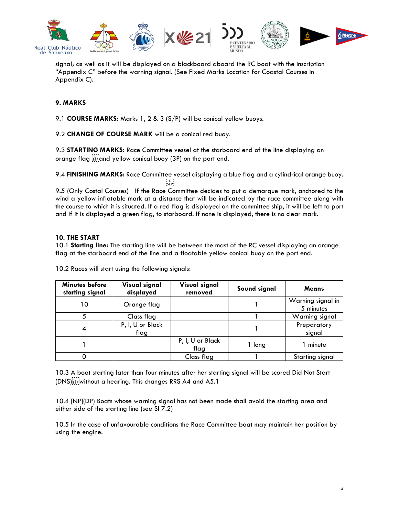

signal; as well as it will be displayed on a blackboard aboard the RC boat with the inscription "Appendix C" before the warning signal. (See Fixed Marks Location for Coastal Courses in Appendix C).

# **9. MARKS**

9.1 **COURSE MARKS:** Marks 1, 2 & 3 (S/P) will be conical yellow buoys.

9.2 **CHANGE OF COURSE MARK** will be a conical red buoy.

9.3 **STARTING MARKS:** Race Committee vessel at the starboard end of the line displaying an orange flag  $\frac{1}{3}$  orange flag sellow conical buoy (3P) on the port end.

9.4 **FINISHING MARKS:** Race Committee vessel displaying a blue flag and a cylindrical orange buoy. FTER<br>SEP:

9.5 (Only Costal Courses) If the Race Committee decides to put a demarque mark, anchored to the wind a yellow inflatable mark at a distance that will be indicated by the race committee along with the course to which it is situated. If a red flag is displayed on the committee ship, it will be left to port and if it is displayed a green flag, to starboard. If none is displayed, there is no clear mark.

#### **10. THE START**

10.1 **Starting line:** The starting line will be between the mast of the RC vessel displaying an orange flag at the starboard end of the line and a floatable yellow conical buoy on the port end.

| Minutes before<br>starting signal | Visual signal<br>displayed | Visual signal<br>removed | Sound signal | <b>Means</b>                   |
|-----------------------------------|----------------------------|--------------------------|--------------|--------------------------------|
| 10                                | Orange flag                |                          |              | Warning signal in<br>5 minutes |
| 5                                 | Class flag                 |                          |              | Warning signal                 |
| 4                                 | P, I, U or Black<br>flag   |                          |              | Preparatory<br>signal          |
|                                   |                            | P, I, U or Black<br>flag | 1 long       | minute                         |
|                                   |                            | Class flag               |              | Starting signal                |

10.2 Races will start using the following signals:

10.3 A boat starting later than four minutes after her starting signal will be scored Did Not Start (DNS) sepwithout a hearing. This changes RRS A4 and A5.1

10.4 [NP](DP) Boats whose warning signal has not been made shall avoid the starting area and either side of the starting line (see SI 7.2)

10.5 In the case of unfavourable conditions the Race Committee boat may maintain her position by using the engine.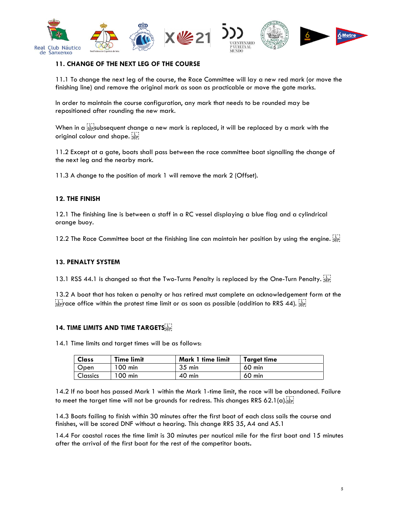

# **11. CHANGE OF THE NEXT LEG OF THE COURSE**

11.1 To change the next leg of the course, the Race Committee will lay a new red mark (or move the finishing line) and remove the original mark as soon as practicable or move the gate marks.

In order to maintain the course configuration, any mark that needs to be rounded may be repositioned after rounding the new mark.

When in a  $\frac{1}{100}$  subsequent change a new mark is replaced, it will be replaced by a mark with the original colour and shape.

11.2 Except at a gate, boats shall pass between the race committee boat signalling the change of the next leg and the nearby mark.

11.3 A change to the position of mark 1 will remove the mark 2 (Offset).

# **12. THE FINISH**

12.1 The finishing line is between a staff in a RC vessel displaying a blue flag and a cylindrical orange buoy.

12.2 The Race Committee boat at the finishing line can maintain her position by using the engine.  $\frac{1}{3}$ 

# **13. PENALTY SYSTEM**

13.1 RSS 44.1 is changed so that the Two-Turns Penalty is replaced by the One-Turn Penalty.

13.2 A boat that has taken a penalty or has retired must complete an acknowledgement form at the  $\frac{1}{3}$  race office within the protest time limit or as soon as possible (addition to RRS 44).  $\frac{1}{3}$ 

# **14. TIME LIMITS AND TIME TARGETS**

14.1 Time limits and target times will be as follows:

| Class    | <b>Time limit</b> | Mark 1 time limit | <b>Target time</b> |
|----------|-------------------|-------------------|--------------------|
| Open     | $100$ min         | $35$ min          | $60$ min           |
| Classics | $100$ min         | $40$ min          | $60$ min           |

14.2 If no boat has passed Mark 1 within the Mark 1-time limit, the race will be abandoned. Failure to meet the target time will not be grounds for redress. This changes RRS 62.1(a).

14.3 Boats failing to finish within 30 minutes after the first boat of each class sails the course and finishes, will be scored DNF without a hearing. This change RRS 35, A4 and A5.1

14.4 For coastal races the time limit is 30 minutes per nautical mile for the first boat and 15 minutes after the arrival of the first boat for the rest of the competitor boats**.**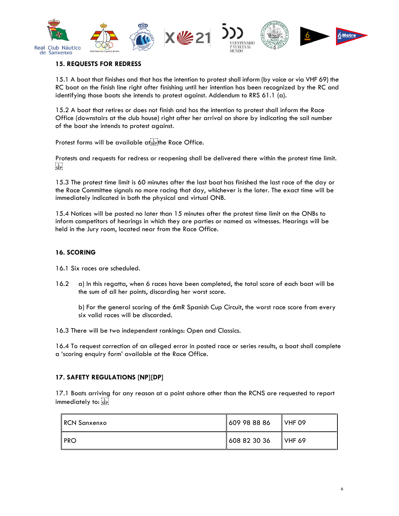

# **15. REQUESTS FOR REDRESS**

15.1 A boat that finishes and that has the intention to protest shall inform (by voice or via VHF 69) the RC boat on the finish line right after finishing until her intention has been recognized by the RC and identifying those boats she intends to protest against. Addendum to RRS 61.1 (a).

15.2 A boat that retires or does not finish and has the intention to protest shall inform the Race Office (downstairs at the club house) right after her arrival on shore by indicating the sail number of the boat she intends to protest against.

Protest forms will be available atsepthe Race Office.

Protests and requests for redress or reopening shall be delivered there within the protest time limit.  $SEP$ 

15.3 The protest time limit is 60 minutes after the last boat has finished the last race of the day or the Race Committee signals no more racing that day, whichever is the later. The exact time will be immediately indicated in both the physical and virtual ONB.

15.4 Notices will be posted no later than 15 minutes after the protest time limit on the ONBs to inform competitors of hearings in which they are parties or named as witnesses. Hearings will be held in the Jury room, located near from the Race Office.

# **16. SCORING**

16.1 Six races are scheduled.

16.2 a) In this regatta, when 6 races have been completed, the total score of each boat will be the sum of all her points, discarding her worst score.

b) For the general scoring of the 6mR Spanish Cup Circuit, the worst race score from every six valid races will be discarded.

16.3 There will be two independent rankings: Open and Classics.

16.4 To request correction of an alleged error in posted race or series results, a boat shall complete a 'scoring enquiry form' available at the Race Office.

# **17. SAFETY REGULATIONS [NP][DP]**

17.1 Boats arriving for any reason at a point ashore other than the RCNS are requested to report immediately to:

| <b>IRCN Sanxenxo</b> | 609 98 88 86 | VHF 09 |
|----------------------|--------------|--------|
| I PRO                | 608 82 30 36 | VHF 69 |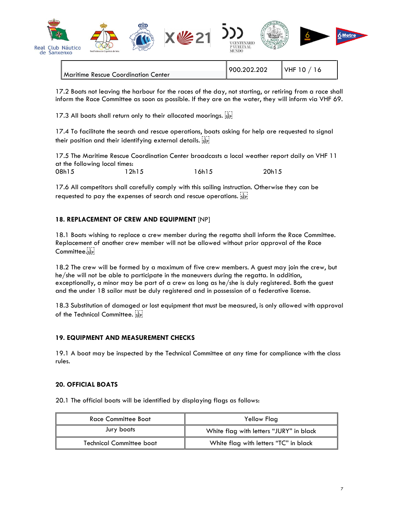

| 900.202.202<br>VHF $10/16$<br>Maritime Rescue Coordination Center |
|-------------------------------------------------------------------|
|-------------------------------------------------------------------|

17.2 Boats not leaving the harbour for the races of the day, not starting, or retiring from a race shall inform the Race Committee as soon as possible. If they are on the water, they will inform via VHF 69.

17.3 All boats shall return only to their allocated moorings.

17.4 To facilitate the search and rescue operations, boats asking for help are requested to signal their position and their identifying external details.

17.5 The Maritime Rescue Coordination Center broadcasts a local weather report daily on VHF 11 at the following local times: 08h15 12h15 16h15 20h15

17.6 All competitors shall carefully comply with this sailing instruction. Otherwise they can be requested to pay the expenses of search and rescue operations.

#### **18. REPLACEMENT OF CREW AND EQUIPMENT** [NP]

18.1 Boats wishing to replace a crew member during the regatta shall inform the Race Committee. Replacement of another crew member will not be allowed without prior approval of the Race Committee.

18.2 The crew will be formed by a maximum of five crew members. A guest may join the crew, but he/she will not be able to participate in the maneuvers during the regatta. In addition, exceptionally, a minor may be part of a crew as long as he/she is duly registered. Both the guest and the under 18 sailor must be duly registered and in possession of a federative license.

18.3 Substitution of damaged or lost equipment that must be measured, is only allowed with approval of the Technical Committee.

#### **19. EQUIPMENT AND MEASUREMENT CHECKS**

19.1 A boat may be inspected by the Technical Committee at any time for compliance with the class rules.

#### **20. OFFICIAL BOATS**

20.1 The official boats will be identified by displaying flags as follows:

| Race Committee Boat             | Yellow Flag                             |  |
|---------------------------------|-----------------------------------------|--|
| Jury boats                      | White flag with letters "JURY" in black |  |
| <b>Technical Committee boat</b> | White flag with letters "TC" in black   |  |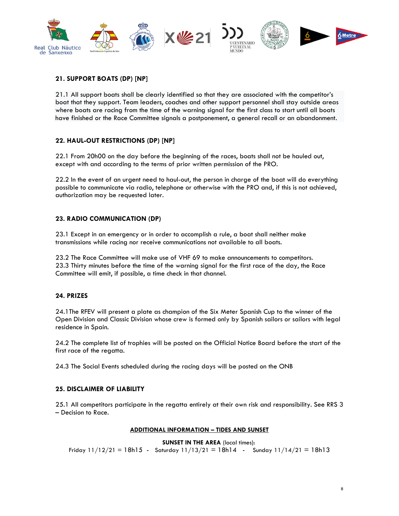

# **21. SUPPORT BOATS (DP) [NP]**

21.1 All support boats shall be clearly identified so that they are associated with the competitor's boat that they support. Team leaders, coaches and other support personnel shall stay outside areas where boats are racing from the time of the warning signal for the first class to start until all boats have finished or the Race Committee signals a postponement, a general recall or an abandonment.

# **22. HAUL-OUT RESTRICTIONS (DP) [NP]**

22.1 From 20h00 on the day before the beginning of the races, boats shall not be hauled out, except with and according to the terms of prior written permission of the PRO.

22.2 In the event of an urgent need to haul-out, the person in charge of the boat will do everything possible to communicate via radio, telephone or otherwise with the PRO and, if this is not achieved, authorization may be requested later.

# **23. RADIO COMMUNICATION (DP)**

23.1 Except in an emergency or in order to accomplish a rule, a boat shall neither make transmissions while racing nor receive communications not available to all boats.

23.2 The Race Committee will make use of VHF 69 to make announcements to competitors. 23.3 Thirty minutes before the time of the warning signal for the first race of the day, the Race Committee will emit, if possible, a time check in that channel.

#### **24. PRIZES**

24.1The RFEV will present a plate as champion of the Six Meter Spanish Cup to the winner of the Open Division and Classic Division whose crew is formed only by Spanish sailors or sailors with legal residence in Spain.

24.2 The complete list of trophies will be posted on the Official Notice Board before the start of the first race of the regatta.

24.3 The Social Events scheduled during the racing days will be posted on the ONB

#### **25. DISCLAIMER OF LIABILITY**

25.1 All competitors participate in the regatta entirely at their own risk and responsibility. See RRS 3 – Decision to Race.

#### **ADDITIONAL INFORMATION – TIDES AND SUNSET**

**SUNSET IN THE AREA** (local times):

Friday  $11/12/21 = 18h15 -$  Saturday  $11/13/21 = 18h14 -$  Sunday  $11/14/21 = 18h13$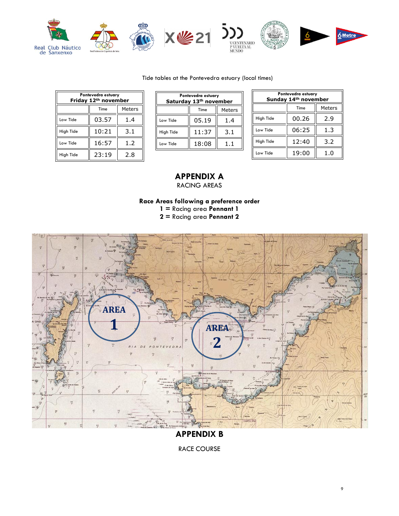

Tide tables at the Pontevedra estuary (local times)

| Pontevedra estuary<br>Friday 12 <sup>th</sup> november |       |        |  |
|--------------------------------------------------------|-------|--------|--|
|                                                        | Time  | Meters |  |
| Low Tide                                               | 03.57 | 1.4    |  |
| High Tide                                              | 10:21 | 3.1    |  |
| Low Tide                                               | 16:57 | 1.2    |  |
| High Tide                                              | 23:19 | 2.8    |  |

| Pontevedra estuary<br>Saturday 13th november |       |     |  |
|----------------------------------------------|-------|-----|--|
| Meters<br>Time                               |       |     |  |
| Low Tide                                     | 05.19 | 1.4 |  |
| <b>High Tide</b>                             | 11:37 | 3.1 |  |
| Low Tide                                     | 18:08 | 1.1 |  |

| Pontevedra estuary<br>Sunday 14th november |       |        |  |
|--------------------------------------------|-------|--------|--|
|                                            | Time  | Meters |  |
| High Tide                                  | 00.26 | 2.9    |  |
| Low Tide                                   | 06:25 | 1.3    |  |
| High Tide                                  | 12:40 | 3.2    |  |
| Low Tide                                   | 19:00 | 1.0    |  |

9

# **APPENDIX A**

RACING AREAS

**Race Areas following a preference order**

**1 =** Racing area **Pennant 1**

**2 =** Racing area **Pennant 2**



**APPENDIX B**

RACE COURSE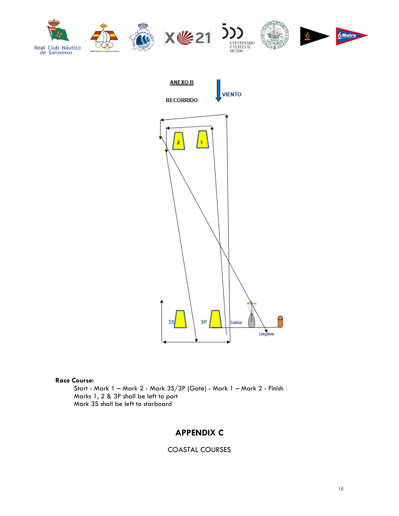

#### **Race Course:**

Start - Mark 1 – Mark 2 - Mark 3S/3P (Gate) - Mark 1 – Mark 2 - Finish Marks 1, 2 & 3P shall be left to port Mark 3S shall be left to starboard

# **APPENDIX C**

COASTAL COURSES